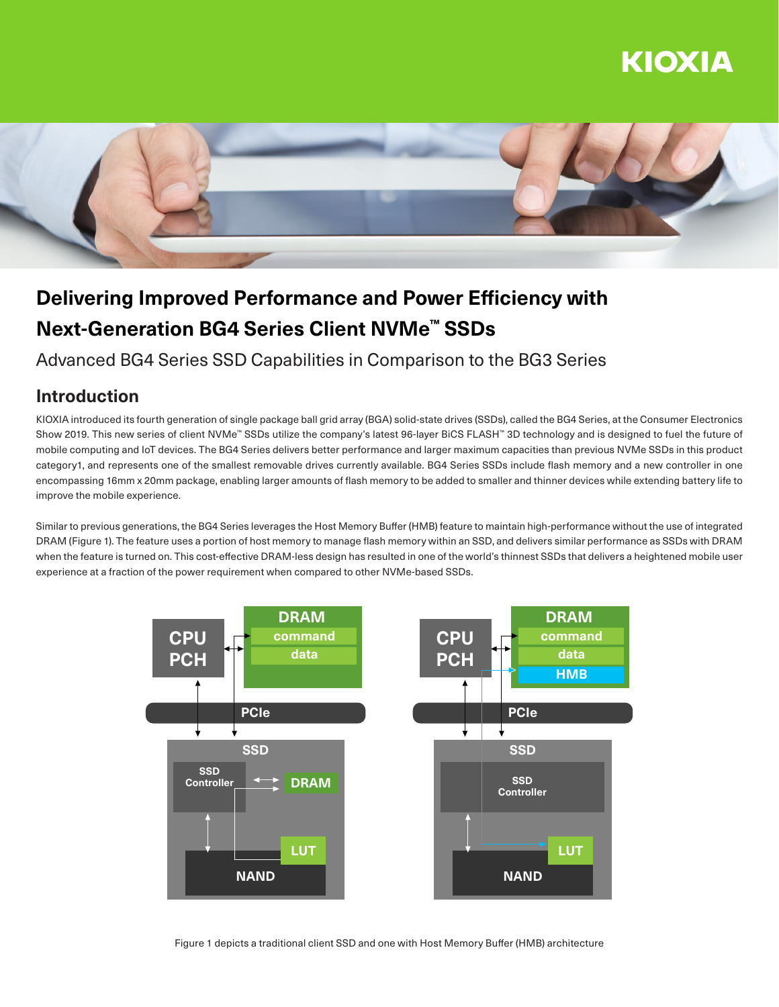# KIOXIA



# **Delivering Improved Performance and Power Efficiency with Next-Generation BG4 Series Client NVMe™ SSDs**

### Advanced BG4 Series SSD Capabilities in Comparison to the BG3 Series

### **Introduction**

KIOXIA introduced its fourth generation of single package ball grid array (BGA) solid-state drives (SSDs), called the BG4 Series, at the Consumer Electronics Show 2019. This new series of client NVMe™ SSDs utilize the company's latest 96-layer BiCS FLASH™ 3D technology and is designed to fuel the future of mobile computing and IoT devices. The BG4 Series delivers better performance and larger maximum capacities than previous NVMe SSDs in this product category1, and represents one of the smallest removable drives currently available. BG4 Series SSDs include flash memory and a new controller in one encompassing 16mm x 20mm package, enabling larger amounts of flash memory to be added to smaller and thinner devices while extending battery life to improve the mobile experience.

Similar to previous generations, the BG4 Series leverages the Host Memory Buffer (HMB) feature to maintain high-performance without the use of integrated DRAM (Figure 1). The feature uses a portion of host memory to manage flash memory within an SSD, and delivers similar performance as SSDs with DRAM when the feature is turned on. This cost-effective DRAM-less design has resulted in one of the world's thinnest SSDs that delivers a heightened mobile user experience at a fraction of the power requirement when compared to other NVMe-based SSDs.



Figure 1 depicts a traditional client SSD and one with Host Memory Buffer (HMB) architecture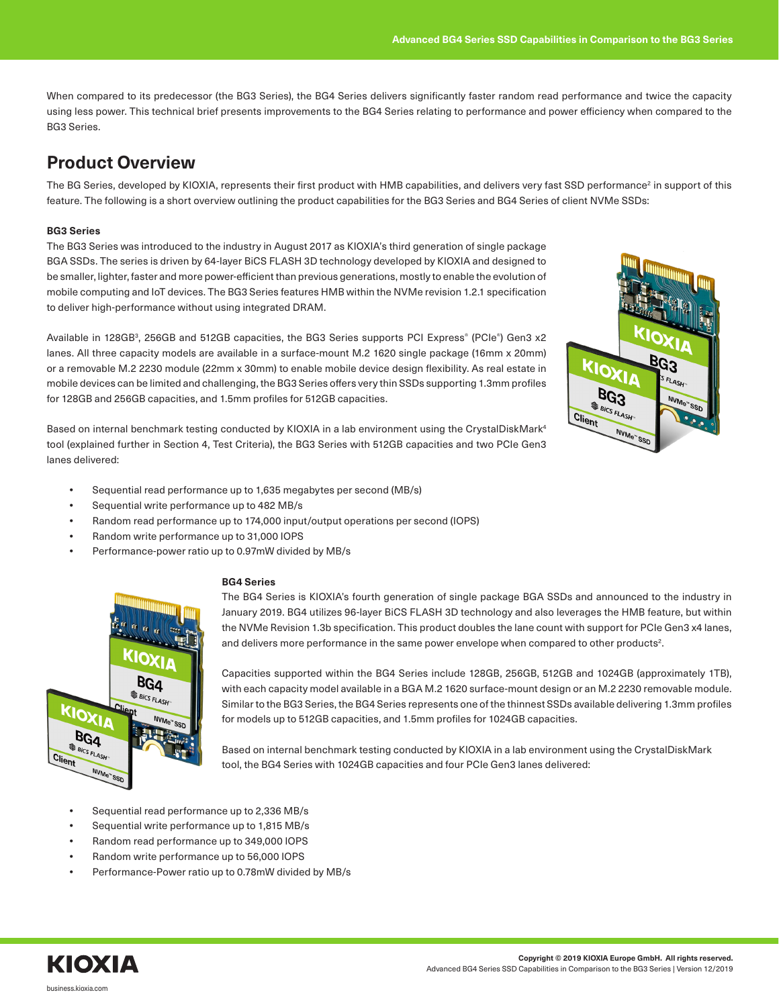When compared to its predecessor (the BG3 Series), the BG4 Series delivers significantly faster random read performance and twice the capacity using less power. This technical brief presents improvements to the BG4 Series relating to performance and power efficiency when compared to the BG3 Series.

### **Product Overview**

The BG Series, developed by KIOXIA, represents their first product with HMB capabilities, and delivers very fast SSD performance<sup>2</sup> in support of this feature. The following is a short overview outlining the product capabilities for the BG3 Series and BG4 Series of client NVMe SSDs:

### **BG3 Series**

The BG3 Series was introduced to the industry in August 2017 as KIOXIA's third generation of single package BGA SSDs. The series is driven by 64-layer BiCS FLASH 3D technology developed by KIOXIA and designed to be smaller, lighter, faster and more power-efficient than previous generations, mostly to enable the evolution of mobile computing and IoT devices. The BG3 Series features HMB within the NVMe revision 1.2.1 specification to deliver high-performance without using integrated DRAM.

Available in 128GB<sup>3</sup>, 256GB and 512GB capacities, the BG3 Series supports PCI Express<sup>®</sup> (PCIe<sup>®</sup>) Gen3 x2 lanes. All three capacity models are available in a surface-mount M.2 1620 single package (16mm x 20mm) or a removable M.2 2230 module (22mm x 30mm) to enable mobile device design flexibility. As real estate in mobile devices can be limited and challenging, the BG3 Series offers very thin SSDs supporting 1.3mm profiles for 128GB and 256GB capacities, and 1.5mm profiles for 512GB capacities.

Based on internal benchmark testing conducted by KIOXIA in a lab environment using the CrystalDiskMark<sup>4</sup> tool (explained further in Section 4, Test Criteria), the BG3 Series with 512GB capacities and two PCIe Gen3 lanes delivered:

- **•** Sequential read performance up to 1,635 megabytes per second (MB/s)
- **•** Sequential write performance up to 482 MB/s
- **•** Random read performance up to 174,000 input/output operations per second (IOPS)
- **•** Random write performance up to 31,000 IOPS
- **•** Performance-power ratio up to 0.97mW divided by MB/s



#### **BG4 Series**

The BG4 Series is KIOXIA's fourth generation of single package BGA SSDs and announced to the industry in January 2019. BG4 utilizes 96-layer BiCS FLASH 3D technology and also leverages the HMB feature, but within the NVMe Revision 1.3b specification. This product doubles the lane count with support for PCIe Gen3 x4 lanes, and delivers more performance in the same power envelope when compared to other products2.

Capacities supported within the BG4 Series include 128GB, 256GB, 512GB and 1024GB (approximately 1TB), with each capacity model available in a BGA M.2 1620 surface-mount design or an M.2 2230 removable module. Similar to the BG3 Series, the BG4 Series represents one of the thinnest SSDs available delivering 1.3mm profiles for models up to 512GB capacities, and 1.5mm profiles for 1024GB capacities.

Based on internal benchmark testing conducted by KIOXIA in a lab environment using the CrystalDiskMark tool, the BG4 Series with 1024GB capacities and four PCIe Gen3 lanes delivered:

- **•** Sequential read performance up to 2,336 MB/s
- **•** Sequential write performance up to 1,815 MB/s
- **•** Random read performance up to 349,000 IOPS
- **•** Random write performance up to 56,000 IOPS
- **•** Performance-Power ratio up to 0.78mW divided by MB/s



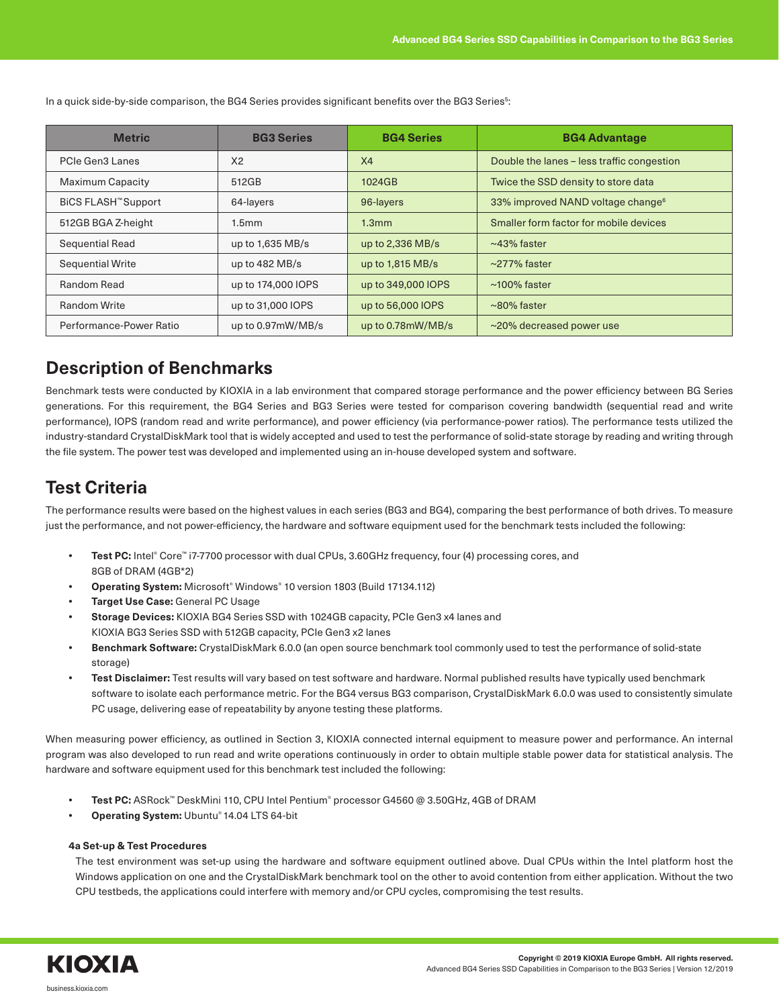**Metric BG3 Series BG4 Series BG4 Advantage** PCIe Gen3 Lanes X2 X2 X4 Double the lanes – less traffic congestion Maximum Capacity **1024GB** 1024GB 1024GB Twice the SSD density to store data BiCS FLASH™ Support 64-layers 96-layers 96-layers 33% improved NAND voltage change<sup>6</sup> 512GB BGA Z-height 1.5mm 1.3mm 1.3mm Smaller form factor for mobile devices Sequential Read up to 1,635 MB/s up to 2,336 MB/s  $\sim$  43% faster Sequential Write 1.5 and 1.82 MB/s up to 1,815 MB/s 277% faster Random Read up to 174,000 IOPS up to 349,000 IOPS  $\sim$  100% faster Random Write  $\vert$  up to 31,000 IOPS up to 56,000 IOPS  $\vert$  ~80% faster Performance-Power Ratio up to 0.97mW/MB/s up to 0.78mW/MB/s  $\sim$  20% decreased power use

In a quick side-by-side comparison, the BG4 Series provides significant benefits over the BG3 Series<sup>5</sup>:

## **Description of Benchmarks**

Benchmark tests were conducted by KIOXIA in a lab environment that compared storage performance and the power efficiency between BG Series generations. For this requirement, the BG4 Series and BG3 Series were tested for comparison covering bandwidth (sequential read and write performance), IOPS (random read and write performance), and power efficiency (via performance-power ratios). The performance tests utilized the industry-standard CrystalDiskMark tool that is widely accepted and used to test the performance of solid-state storage by reading and writing through the file system. The power test was developed and implemented using an in-house developed system and software.

## **Test Criteria**

The performance results were based on the highest values in each series (BG3 and BG4), comparing the best performance of both drives. To measure just the performance, and not power-efficiency, the hardware and software equipment used for the benchmark tests included the following:

- **• Test PC:** Intel® Core™ i7-7700 processor with dual CPUs, 3.60GHz frequency, four (4) processing cores, and 8GB of DRAM (4GB\*2)
- **• Operating System:** Microsoft® Windows® 10 version 1803 (Build 17134.112)
- **• Target Use Case:** General PC Usage
- **• Storage Devices:** KIOXIA BG4 Series SSD with 1024GB capacity, PCIe Gen3 x4 lanes and KIOXIA BG3 Series SSD with 512GB capacity, PCIe Gen3 x2 lanes
- **• Benchmark Software:** CrystalDiskMark 6.0.0 (an open source benchmark tool commonly used to test the performance of solid-state storage)
- **• Test Disclaimer:** Test results will vary based on test software and hardware. Normal published results have typically used benchmark software to isolate each performance metric. For the BG4 versus BG3 comparison, CrystalDiskMark 6.0.0 was used to consistently simulate PC usage, delivering ease of repeatability by anyone testing these platforms.

When measuring power efficiency, as outlined in Section 3, KIOXIA connected internal equipment to measure power and performance. An internal program was also developed to run read and write operations continuously in order to obtain multiple stable power data for statistical analysis. The hardware and software equipment used for this benchmark test included the following:

- **• Test PC:** ASRock™ DeskMini 110, CPU Intel Pentium® processor G4560 @ 3.50GHz, 4GB of DRAM
- **• Operating System:** Ubuntu® 14.04 LTS 64-bit

#### **4a Set-up & Test Procedures**

The test environment was set-up using the hardware and software equipment outlined above. Dual CPUs within the Intel platform host the Windows application on one and the CrystalDiskMark benchmark tool on the other to avoid contention from either application. Without the two CPU testbeds, the applications could interfere with memory and/or CPU cycles, compromising the test results.

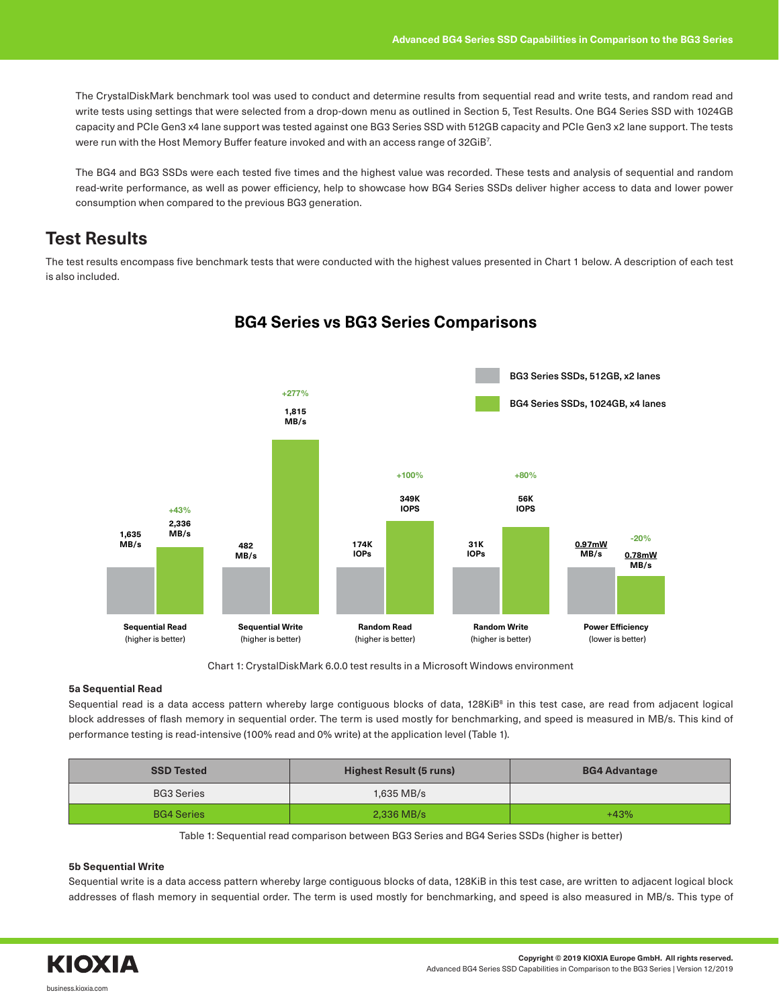The CrystalDiskMark benchmark tool was used to conduct and determine results from sequential read and write tests, and random read and write tests using settings that were selected from a drop-down menu as outlined in Section 5, Test Results. One BG4 Series SSD with 1024GB capacity and PCIe Gen3 x4 lane support was tested against one BG3 Series SSD with 512GB capacity and PCIe Gen3 x2 lane support. The tests were run with the Host Memory Buffer feature invoked and with an access range of 32GiB $^7\!$ .

The BG4 and BG3 SSDs were each tested five times and the highest value was recorded. These tests and analysis of sequential and random read-write performance, as well as power efficiency, help to showcase how BG4 Series SSDs deliver higher access to data and lower power consumption when compared to the previous BG3 generation.

### **Test Results**

The test results encompass five benchmark tests that were conducted with the highest values presented in Chart 1 below. A description of each test is also included.



### **BG4 Series vs BG3 Series Comparisons**

Chart 1: CrystalDiskMark 6.0.0 test results in a Microsoft Windows environment

### **5a Sequential Read**

Sequential read is a data access pattern whereby large contiguous blocks of data, 128KiBª in this test case, are read from adjacent logical block addresses of flash memory in sequential order. The term is used mostly for benchmarking, and speed is measured in MB/s. This kind of performance testing is read-intensive (100% read and 0% write) at the application level (Table 1).

| <b>SSD Tested</b> | Highest Result (5 runs) | <b>BG4 Advantage</b> |
|-------------------|-------------------------|----------------------|
| <b>BG3 Series</b> | 1,635 MB/s              |                      |
| <b>BG4 Series</b> | $2,336$ MB/s            | $+43%$               |

Table 1: Sequential read comparison between BG3 Series and BG4 Series SSDs (higher is better)

### **5b Sequential Write**

Sequential write is a data access pattern whereby large contiguous blocks of data, 128KiB in this test case, are written to adjacent logical block addresses of flash memory in sequential order. The term is used mostly for benchmarking, and speed is also measured in MB/s. This type of

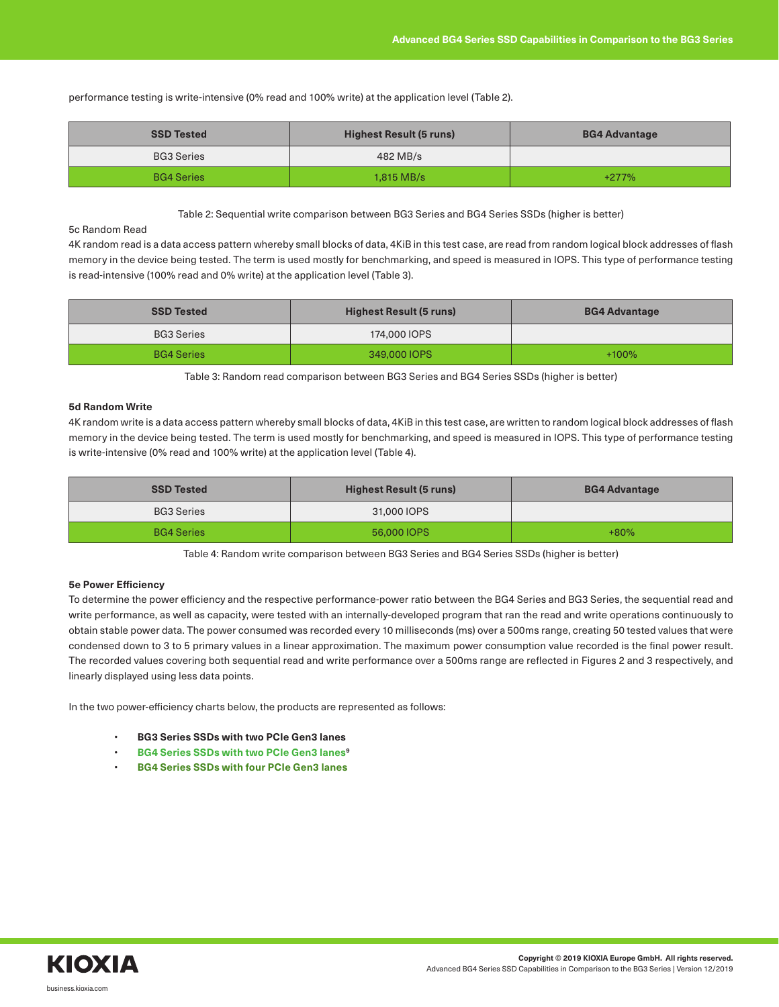performance testing is write-intensive (0% read and 100% write) at the application level (Table 2).

| <b>SSD Tested</b> | <b>Highest Result (5 runs)</b> | <b>BG4 Advantage</b> |
|-------------------|--------------------------------|----------------------|
| <b>BG3 Series</b> | 482 MB/s                       |                      |
| <b>BG4 Series</b> | $1,815$ MB/s                   | $+277%$              |

#### Table 2: Sequential write comparison between BG3 Series and BG4 Series SSDs (higher is better)

### 5c Random Read

4K random read is a data access pattern whereby small blocks of data, 4KiB in this test case, are read from random logical block addresses of flash memory in the device being tested. The term is used mostly for benchmarking, and speed is measured in IOPS. This type of performance testing is read-intensive (100% read and 0% write) at the application level (Table 3).

| <b>SSD Tested</b> | Highest Result (5 runs) | <b>BG4 Advantage</b> |
|-------------------|-------------------------|----------------------|
| <b>BG3 Series</b> | 174,000 IOPS            |                      |
| <b>BG4 Series</b> | 349,000 IOPS            | $+100%$              |

Table 3: Random read comparison between BG3 Series and BG4 Series SSDs (higher is better)

#### **5d Random Write**

4K random write is a data access pattern whereby small blocks of data, 4KiB in this test case, are written to random logical block addresses of flash memory in the device being tested. The term is used mostly for benchmarking, and speed is measured in IOPS. This type of performance testing is write-intensive (0% read and 100% write) at the application level (Table 4).

| <b>SSD Tested</b> | Highest Result (5 runs) | <b>BG4 Advantage</b> |
|-------------------|-------------------------|----------------------|
| <b>BG3 Series</b> | 31,000 IOPS             |                      |
| <b>BG4 Series</b> | 56,000 IOPS             | $+80%$               |

Table 4: Random write comparison between BG3 Series and BG4 Series SSDs (higher is better)

#### **5e Power Efficiency**

To determine the power efficiency and the respective performance-power ratio between the BG4 Series and BG3 Series, the sequential read and write performance, as well as capacity, were tested with an internally-developed program that ran the read and write operations continuously to obtain stable power data. The power consumed was recorded every 10 milliseconds (ms) over a 500ms range, creating 50 tested values that were condensed down to 3 to 5 primary values in a linear approximation. The maximum power consumption value recorded is the final power result. The recorded values covering both sequential read and write performance over a 500ms range are reflected in Figures 2 and 3 respectively, and linearly displayed using less data points.

In the two power-efficiency charts below, the products are represented as follows:

- **BG3 Series SSDs with two PCIe Gen3 lanes**
- **BG4 Series SSDs with two PCIe Gen3 lanes9**
- **BG4 Series SSDs with four PCIe Gen3 lanes**

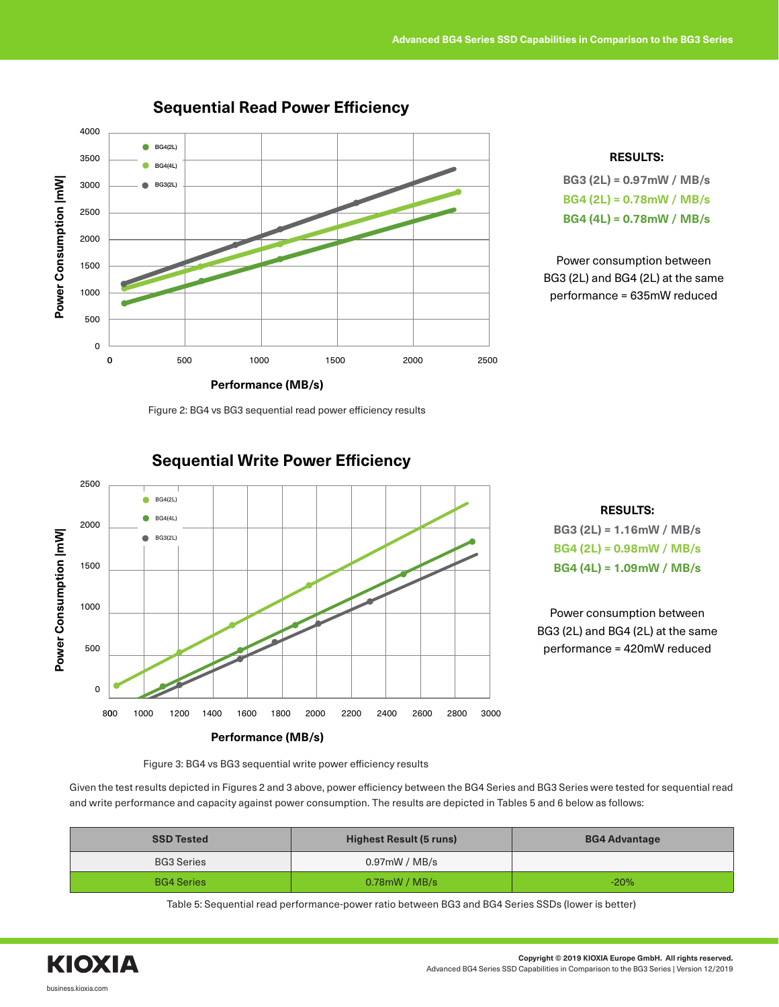

### **Sequential Read Power Efficiency**



**BG3 (2L) = 0.97mW / MB/s BG4 (2L) = 0.78mW / MB/s BG4 (4L) = 0.78mW / MB/s**

Power consumption between BG3 (2L) and BG4 (2L) at the same performance = 635mW reduced

Figure 2: BG4 vs BG3 sequential read power efficiency results







Power consumption between BG3 (2L) and BG4 (2L) at the same performance = 420mW reduced

Figure 3: BG4 vs BG3 sequential write power efficiency results

Given the test results depicted in Figures 2 and 3 above, power efficiency between the BG4 Series and BG3 Series were tested for sequential read and write performance and capacity against power consumption. The results are depicted in Tables 5 and 6 below as follows:

| <b>SSD Tested</b> | Highest Result (5 runs) | <b>BG4 Advantage</b> |
|-------------------|-------------------------|----------------------|
| <b>BG3 Series</b> | 0.97mW / MB/s           |                      |
| <b>BG4 Series</b> | $0.78$ mW / MB/s        | $-20%$               |

Table 5: Sequential read performance-power ratio between BG3 and BG4 Series SSDs (lower is better)

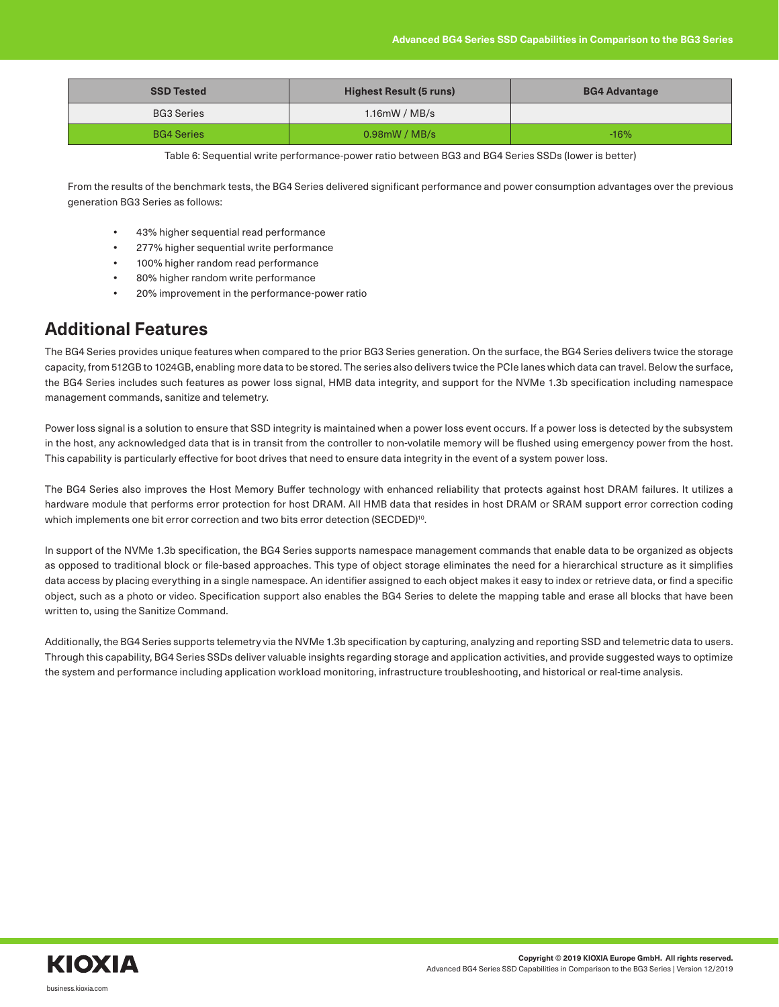| <b>SSD Tested</b> | Highest Result (5 runs) | <b>BG4 Advantage</b> |
|-------------------|-------------------------|----------------------|
| <b>BG3 Series</b> | $1.16$ mW / MB/s        |                      |
| <b>BG4 Series</b> | $0.98$ mW / MB/s        | $-16%$               |

Table 6: Sequential write performance-power ratio between BG3 and BG4 Series SSDs (lower is better)

From the results of the benchmark tests, the BG4 Series delivered significant performance and power consumption advantages over the previous generation BG3 Series as follows:

- **•** 43% higher sequential read performance
- **•** 277% higher sequential write performance
- **•** 100% higher random read performance
- **•** 80% higher random write performance
- **•** 20% improvement in the performance-power ratio

### **Additional Features**

The BG4 Series provides unique features when compared to the prior BG3 Series generation. On the surface, the BG4 Series delivers twice the storage capacity, from 512GB to 1024GB, enabling more data to be stored. The series also delivers twice the PCIe lanes which data can travel. Below the surface, the BG4 Series includes such features as power loss signal, HMB data integrity, and support for the NVMe 1.3b specification including namespace management commands, sanitize and telemetry.

Power loss signal is a solution to ensure that SSD integrity is maintained when a power loss event occurs. If a power loss is detected by the subsystem in the host, any acknowledged data that is in transit from the controller to non-volatile memory will be flushed using emergency power from the host. This capability is particularly effective for boot drives that need to ensure data integrity in the event of a system power loss.

The BG4 Series also improves the Host Memory Buffer technology with enhanced reliability that protects against host DRAM failures. It utilizes a hardware module that performs error protection for host DRAM. All HMB data that resides in host DRAM or SRAM support error correction coding which implements one bit error correction and two bits error detection (SECDED)<sup>10</sup>.

In support of the NVMe 1.3b specification, the BG4 Series supports namespace management commands that enable data to be organized as objects as opposed to traditional block or file-based approaches. This type of object storage eliminates the need for a hierarchical structure as it simplifies data access by placing everything in a single namespace. An identifier assigned to each object makes it easy to index or retrieve data, or find a specific object, such as a photo or video. Specification support also enables the BG4 Series to delete the mapping table and erase all blocks that have been written to, using the Sanitize Command.

Additionally, the BG4 Series supports telemetry via the NVMe 1.3b specification by capturing, analyzing and reporting SSD and telemetric data to users. Through this capability, BG4 Series SSDs deliver valuable insights regarding storage and application activities, and provide suggested ways to optimize the system and performance including application workload monitoring, infrastructure troubleshooting, and historical or real-time analysis.